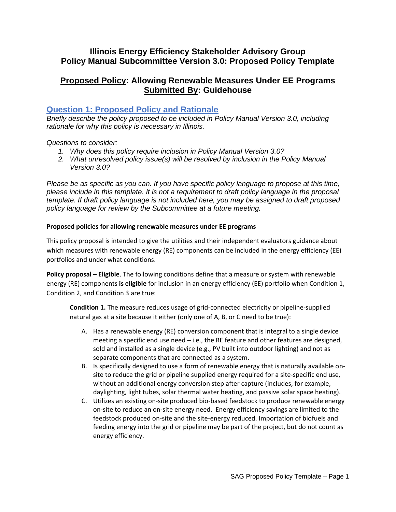## **Illinois Energy Efficiency Stakeholder Advisory Group Policy Manual Subcommittee Version 3.0: Proposed Policy Template**

# **Proposed Policy: Allowing Renewable Measures Under EE Programs Submitted By: Guidehouse**

### **Question 1: Proposed Policy and Rationale**

*Briefly describe the policy proposed to be included in Policy Manual Version 3.0, including rationale for why this policy is necessary in Illinois.* 

#### *Questions to consider:*

- *1. Why does this policy require inclusion in Policy Manual Version 3.0?*
- *2. What unresolved policy issue(s) will be resolved by inclusion in the Policy Manual Version 3.0?*

*Please be as specific as you can. If you have specific policy language to propose at this time, please include in this template. It is not a requirement to draft policy language in the proposal template. If draft policy language is not included here, you may be assigned to draft proposed policy language for review by the Subcommittee at a future meeting.*

#### **Proposed policies for allowing renewable measures under EE programs**

This policy proposal is intended to give the utilities and their independent evaluators guidance about which measures with renewable energy (RE) components can be included in the energy efficiency (EE) portfolios and under what conditions.

**Policy proposal – Eligible**. The following conditions define that a measure or system with renewable energy (RE) components **is eligible** for inclusion in an energy efficiency (EE) portfolio when Condition 1, Condition 2, and Condition 3 are true:

**Condition 1.** The measure reduces usage of grid-connected electricity or pipeline-supplied natural gas at a site because it either (only one of A, B, or C need to be true):

- A. Has a renewable energy (RE) conversion component that is integral to a single device meeting a specific end use need – i.e., the RE feature and other features are designed, sold and installed as a single device (e.g., PV built into outdoor lighting) and not as separate components that are connected as a system.
- B. Is specifically designed to use a form of renewable energy that is naturally available onsite to reduce the grid or pipeline supplied energy required for a site-specific end use, without an additional energy conversion step after capture (includes, for example, daylighting, light tubes, solar thermal water heating, and passive solar space heating).
- C. Utilizes an existing on-site produced bio-based feedstock to produce renewable energy on-site to reduce an on-site energy need. Energy efficiency savings are limited to the feedstock produced on-site and the site-energy reduced. Importation of biofuels and feeding energy into the grid or pipeline may be part of the project, but do not count as energy efficiency.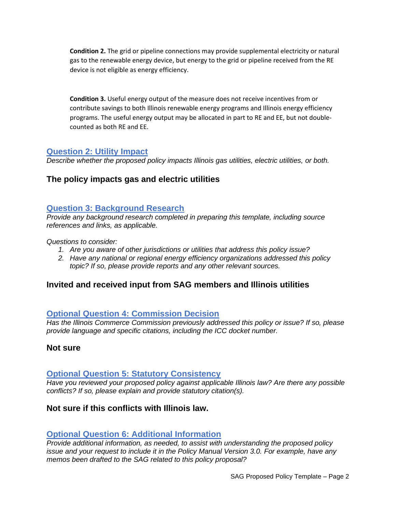**Condition 2.** The grid or pipeline connections may provide supplemental electricity or natural gas to the renewable energy device, but energy to the grid or pipeline received from the RE device is not eligible as energy efficiency.

**Condition 3.** Useful energy output of the measure does not receive incentives from or contribute savings to both Illinois renewable energy programs and Illinois energy efficiency programs. The useful energy output may be allocated in part to RE and EE, but not doublecounted as both RE and EE.

### **Question 2: Utility Impact**

*Describe whether the proposed policy impacts Illinois gas utilities, electric utilities, or both.* 

# **The policy impacts gas and electric utilities**

## **Question 3: Background Research**

*Provide any background research completed in preparing this template, including source references and links, as applicable.* 

#### *Questions to consider:*

- *1. Are you aware of other jurisdictions or utilities that address this policy issue?*
- *2. Have any national or regional energy efficiency organizations addressed this policy topic? If so, please provide reports and any other relevant sources.*

# **Invited and received input from SAG members and Illinois utilities**

## **Optional Question 4: Commission Decision**

*Has the Illinois Commerce Commission previously addressed this policy or issue? If so, please provide language and specific citations, including the ICC docket number.*

## **Not sure**

### **Optional Question 5: Statutory Consistency**

*Have you reviewed your proposed policy against applicable Illinois law? Are there any possible conflicts? If so, please explain and provide statutory citation(s).*

## **Not sure if this conflicts with Illinois law.**

## **Optional Question 6: Additional Information**

*Provide additional information, as needed, to assist with understanding the proposed policy issue and your request to include it in the Policy Manual Version 3.0. For example, have any memos been drafted to the SAG related to this policy proposal?*